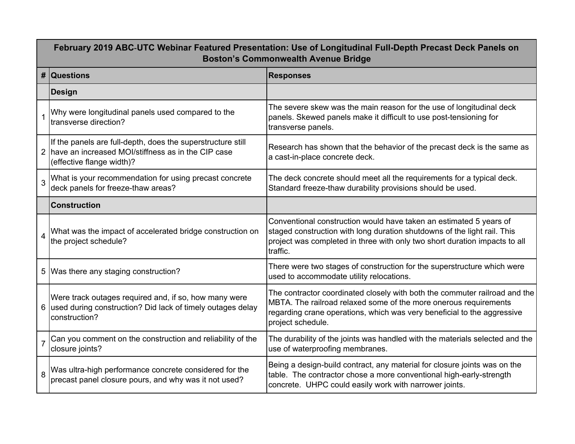|   | February 2019 ABC-UTC Webinar Featured Presentation: Use of Longitudinal Full-Depth Precast Deck Panels on<br><b>Boston's Commonwealth Avenue Bridge</b> |                                                                                                                                                                                                                                                |  |
|---|----------------------------------------------------------------------------------------------------------------------------------------------------------|------------------------------------------------------------------------------------------------------------------------------------------------------------------------------------------------------------------------------------------------|--|
|   | # Questions                                                                                                                                              | <b>Responses</b>                                                                                                                                                                                                                               |  |
|   | <b>Design</b>                                                                                                                                            |                                                                                                                                                                                                                                                |  |
|   | Why were longitudinal panels used compared to the<br>transverse direction?                                                                               | The severe skew was the main reason for the use of longitudinal deck<br>panels. Skewed panels make it difficult to use post-tensioning for<br>transverse panels.                                                                               |  |
|   | If the panels are full-depth, does the superstructure still<br>2 have an increased MOI/stiffness as in the CIP case<br>(effective flange width)?         | Research has shown that the behavior of the precast deck is the same as<br>a cast-in-place concrete deck.                                                                                                                                      |  |
| 3 | What is your recommendation for using precast concrete<br>deck panels for freeze-thaw areas?                                                             | The deck concrete should meet all the requirements for a typical deck.<br>Standard freeze-thaw durability provisions should be used.                                                                                                           |  |
|   | <b>Construction</b>                                                                                                                                      |                                                                                                                                                                                                                                                |  |
| 4 | What was the impact of accelerated bridge construction on<br>the project schedule?                                                                       | Conventional construction would have taken an estimated 5 years of<br>staged construction with long duration shutdowns of the light rail. This<br>project was completed in three with only two short duration impacts to all<br>traffic.       |  |
|   | 5 Was there any staging construction?                                                                                                                    | There were two stages of construction for the superstructure which were<br>used to accommodate utility relocations.                                                                                                                            |  |
|   | Were track outages required and, if so, how many were<br>6 used during construction? Did lack of timely outages delay<br>construction?                   | The contractor coordinated closely with both the commuter railroad and the<br>MBTA. The railroad relaxed some of the more onerous requirements<br>regarding crane operations, which was very beneficial to the aggressive<br>project schedule. |  |
|   | Can you comment on the construction and reliability of the<br>closure joints?                                                                            | The durability of the joints was handled with the materials selected and the<br>use of waterproofing membranes.                                                                                                                                |  |
| 8 | Was ultra-high performance concrete considered for the<br>precast panel closure pours, and why was it not used?                                          | Being a design-build contract, any material for closure joints was on the<br>table. The contractor chose a more conventional high-early-strength<br>concrete. UHPC could easily work with narrower joints.                                     |  |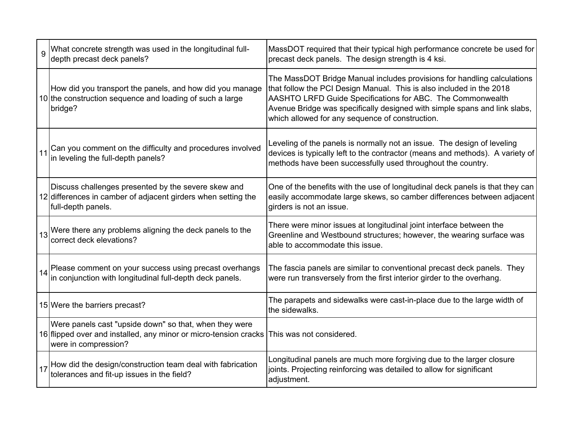| 9  | What concrete strength was used in the longitudinal full-<br>depth precast deck panels?                                                            | MassDOT required that their typical high performance concrete be used for<br>precast deck panels. The design strength is 4 ksi.                                                                                                                                                                                                               |
|----|----------------------------------------------------------------------------------------------------------------------------------------------------|-----------------------------------------------------------------------------------------------------------------------------------------------------------------------------------------------------------------------------------------------------------------------------------------------------------------------------------------------|
|    | How did you transport the panels, and how did you manage<br>10 the construction sequence and loading of such a large<br>bridge?                    | The MassDOT Bridge Manual includes provisions for handling calculations<br>that follow the PCI Design Manual. This is also included in the 2018<br>AASHTO LRFD Guide Specifications for ABC. The Commonwealth<br>Avenue Bridge was specifically designed with simple spans and link slabs,<br>which allowed for any sequence of construction. |
|    | Can you comment on the difficulty and procedures involved<br>in leveling the full-depth panels?                                                    | Leveling of the panels is normally not an issue. The design of leveling<br>devices is typically left to the contractor (means and methods). A variety of<br>methods have been successfully used throughout the country.                                                                                                                       |
|    | Discuss challenges presented by the severe skew and<br>12 differences in camber of adjacent girders when setting the<br>full-depth panels.         | One of the benefits with the use of longitudinal deck panels is that they can<br>easily accommodate large skews, so camber differences between adjacent<br>girders is not an issue.                                                                                                                                                           |
| 13 | Were there any problems aligning the deck panels to the correct deck elevations?                                                                   | There were minor issues at longitudinal joint interface between the<br>Greenline and Westbound structures; however, the wearing surface was<br>able to accommodate this issue.                                                                                                                                                                |
| 14 | Please comment on your success using precast overhangs<br>in conjunction with longitudinal full-depth deck panels.                                 | The fascia panels are similar to conventional precast deck panels. They<br>were run transversely from the first interior girder to the overhang.                                                                                                                                                                                              |
|    | 15 Were the barriers precast?                                                                                                                      | The parapets and sidewalks were cast-in-place due to the large width of<br>the sidewalks.                                                                                                                                                                                                                                                     |
|    | Were panels cast "upside down" so that, when they were<br>16 flipped over and installed, any minor or micro-tension cracks<br>were in compression? | This was not considered.                                                                                                                                                                                                                                                                                                                      |
| 17 | How did the design/construction team deal with fabrication<br>tolerances and fit-up issues in the field?                                           | Longitudinal panels are much more forgiving due to the larger closure<br>joints. Projecting reinforcing was detailed to allow for significant<br>adjustment.                                                                                                                                                                                  |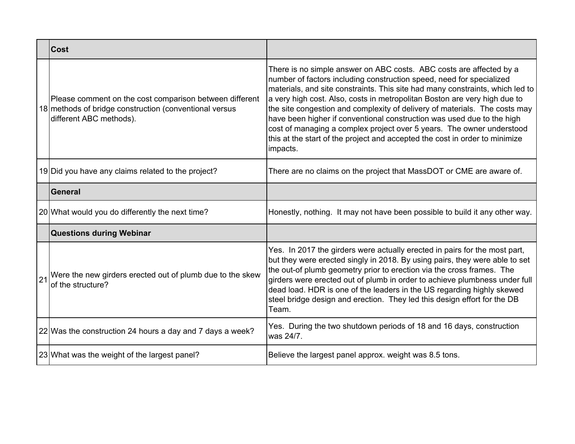|    | <b>Cost</b>                                                                                                                                  |                                                                                                                                                                                                                                                                                                                                                                                                                                                                                                                                                                                                                                       |
|----|----------------------------------------------------------------------------------------------------------------------------------------------|---------------------------------------------------------------------------------------------------------------------------------------------------------------------------------------------------------------------------------------------------------------------------------------------------------------------------------------------------------------------------------------------------------------------------------------------------------------------------------------------------------------------------------------------------------------------------------------------------------------------------------------|
|    | Please comment on the cost comparison between different<br>18 methods of bridge construction (conventional versus<br>different ABC methods). | There is no simple answer on ABC costs. ABC costs are affected by a<br>number of factors including construction speed, need for specialized<br>materials, and site constraints. This site had many constraints, which led to<br>a very high cost. Also, costs in metropolitan Boston are very high due to<br>the site congestion and complexity of delivery of materials. The costs may<br>have been higher if conventional construction was used due to the high<br>cost of managing a complex project over 5 years. The owner understood<br>this at the start of the project and accepted the cost in order to minimize<br>impacts. |
|    | 19 Did you have any claims related to the project?                                                                                           | There are no claims on the project that MassDOT or CME are aware of.                                                                                                                                                                                                                                                                                                                                                                                                                                                                                                                                                                  |
|    | General                                                                                                                                      |                                                                                                                                                                                                                                                                                                                                                                                                                                                                                                                                                                                                                                       |
|    | 20 What would you do differently the next time?                                                                                              | Honestly, nothing. It may not have been possible to build it any other way.                                                                                                                                                                                                                                                                                                                                                                                                                                                                                                                                                           |
|    | <b>Questions during Webinar</b>                                                                                                              |                                                                                                                                                                                                                                                                                                                                                                                                                                                                                                                                                                                                                                       |
| 21 | Were the new girders erected out of plumb due to the skew<br>of the structure?                                                               | Yes. In 2017 the girders were actually erected in pairs for the most part,<br>but they were erected singly in 2018. By using pairs, they were able to set<br>the out-of plumb geometry prior to erection via the cross frames. The<br>girders were erected out of plumb in order to achieve plumbness under full<br>dead load. HDR is one of the leaders in the US regarding highly skewed<br>steel bridge design and erection. They led this design effort for the DB<br>Team.                                                                                                                                                       |
|    | 22 Was the construction 24 hours a day and 7 days a week?                                                                                    | Yes. During the two shutdown periods of 18 and 16 days, construction<br>was 24/7.                                                                                                                                                                                                                                                                                                                                                                                                                                                                                                                                                     |
|    | 23 What was the weight of the largest panel?                                                                                                 | Believe the largest panel approx. weight was 8.5 tons.                                                                                                                                                                                                                                                                                                                                                                                                                                                                                                                                                                                |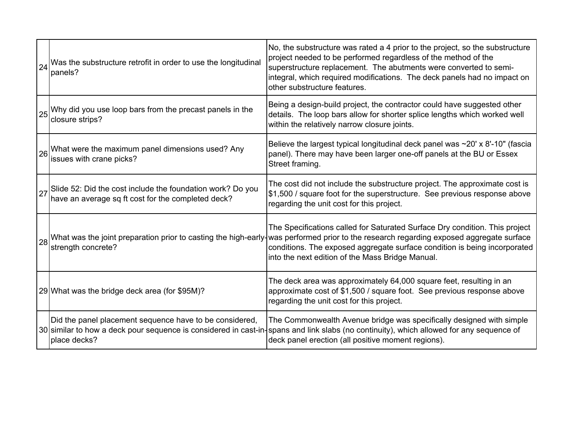| 24 | Was the substructure retrofit in order to use the longitudinal<br>panels?                                        | No, the substructure was rated a 4 prior to the project, so the substructure<br>project needed to be performed regardless of the method of the<br>superstructure replacement. The abutments were converted to semi-<br>integral, which required modifications. The deck panels had no impact on<br>other substructure features.                        |
|----|------------------------------------------------------------------------------------------------------------------|--------------------------------------------------------------------------------------------------------------------------------------------------------------------------------------------------------------------------------------------------------------------------------------------------------------------------------------------------------|
|    | $\left 25\right $ Why did you use loop bars from the precast panels in the<br>closure strips?                    | Being a design-build project, the contractor could have suggested other<br>details. The loop bars allow for shorter splice lengths which worked well<br>within the relatively narrow closure joints.                                                                                                                                                   |
|    | $ 26 $ . What were the maximum panel dimensions used? Any<br>issues with crane picks?                            | Believe the largest typical longitudinal deck panel was $\sim$ 20' x 8'-10" (fascia<br>panel). There may have been larger one-off panels at the BU or Essex<br>Street framing.                                                                                                                                                                         |
| 27 | Slide 52: Did the cost include the foundation work? Do you<br>have an average sq ft cost for the completed deck? | The cost did not include the substructure project. The approximate cost is<br>\$1,500 / square foot for the superstructure. See previous response above<br>regarding the unit cost for this project.                                                                                                                                                   |
| 28 | strength concrete?                                                                                               | The Specifications called for Saturated Surface Dry condition. This project<br>What was the joint preparation prior to casting the high-early-was performed prior to the research regarding exposed aggregate surface<br>conditions. The exposed aggregate surface condition is being incorporated<br>into the next edition of the Mass Bridge Manual. |
|    | 29 What was the bridge deck area (for \$95M)?                                                                    | The deck area was approximately 64,000 square feet, resulting in an<br>approximate cost of \$1,500 / square foot. See previous response above<br>regarding the unit cost for this project.                                                                                                                                                             |
|    | Did the panel placement sequence have to be considered,<br>place decks?                                          | The Commonwealth Avenue bridge was specifically designed with simple<br>30 similar to how a deck pour sequence is considered in cast-in-spans and link slabs (no continuity), which allowed for any sequence of<br>deck panel erection (all positive moment regions).                                                                                  |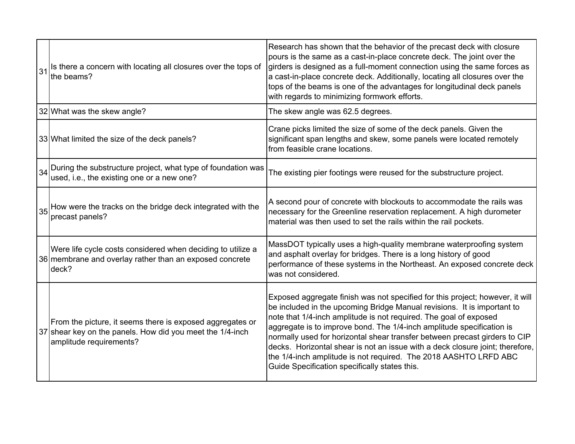| 3 <sup>1</sup> | Is there a concern with locating all closures over the tops of<br>the beams?                                                                      | Research has shown that the behavior of the precast deck with closure<br>pours is the same as a cast-in-place concrete deck. The joint over the<br>girders is designed as a full-moment connection using the same forces as<br>a cast-in-place concrete deck. Additionally, locating all closures over the<br>tops of the beams is one of the advantages for longitudinal deck panels<br>with regards to minimizing formwork efforts.                                                                                                                                                      |
|----------------|---------------------------------------------------------------------------------------------------------------------------------------------------|--------------------------------------------------------------------------------------------------------------------------------------------------------------------------------------------------------------------------------------------------------------------------------------------------------------------------------------------------------------------------------------------------------------------------------------------------------------------------------------------------------------------------------------------------------------------------------------------|
|                | 32 What was the skew angle?                                                                                                                       | The skew angle was 62.5 degrees.                                                                                                                                                                                                                                                                                                                                                                                                                                                                                                                                                           |
|                | 33 What limited the size of the deck panels?                                                                                                      | Crane picks limited the size of some of the deck panels. Given the<br>significant span lengths and skew, some panels were located remotely<br>from feasible crane locations.                                                                                                                                                                                                                                                                                                                                                                                                               |
| 34             | During the substructure project, what type of foundation was<br>used, i.e., the existing one or a new one?                                        | The existing pier footings were reused for the substructure project.                                                                                                                                                                                                                                                                                                                                                                                                                                                                                                                       |
|                | 35 How were the tracks on the bridge deck integrated with the<br>precast panels?                                                                  | A second pour of concrete with blockouts to accommodate the rails was<br>necessary for the Greenline reservation replacement. A high durometer<br>material was then used to set the rails within the rail pockets.                                                                                                                                                                                                                                                                                                                                                                         |
|                | Were life cycle costs considered when deciding to utilize a<br>36 membrane and overlay rather than an exposed concrete<br>deck?                   | MassDOT typically uses a high-quality membrane waterproofing system<br>and asphalt overlay for bridges. There is a long history of good<br>performance of these systems in the Northeast. An exposed concrete deck<br>was not considered.                                                                                                                                                                                                                                                                                                                                                  |
|                | From the picture, it seems there is exposed aggregates or<br>37 shear key on the panels. How did you meet the 1/4-inch<br>amplitude requirements? | Exposed aggregate finish was not specified for this project; however, it will<br>be included in the upcoming Bridge Manual revisions. It is important to<br>note that 1/4-inch amplitude is not required. The goal of exposed<br>aggregate is to improve bond. The 1/4-inch amplitude specification is<br>normally used for horizontal shear transfer between precast girders to CIP<br>decks. Horizontal shear is not an issue with a deck closure joint; therefore,<br>the 1/4-inch amplitude is not required. The 2018 AASHTO LRFD ABC<br>Guide Specification specifically states this. |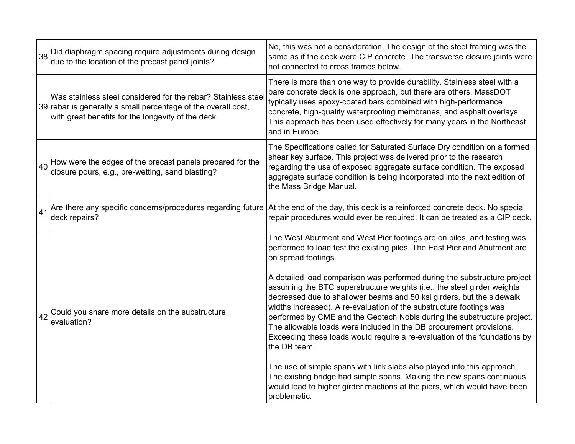| 38 | $ \mathsf{Did}$ diaphragm spacing require adjustments during design<br>due to the location of the precast panel joints?                                                              | No, this was not a consideration. The design of the steel framing was the<br>same as if the deck were CIP concrete. The transverse closure joints were<br>not connected to cross frames below.                                                                                                                                                                                                                                                                                                                                                                                                                                                                                                                                                                                                                                                                                                                                                                                    |
|----|--------------------------------------------------------------------------------------------------------------------------------------------------------------------------------------|-----------------------------------------------------------------------------------------------------------------------------------------------------------------------------------------------------------------------------------------------------------------------------------------------------------------------------------------------------------------------------------------------------------------------------------------------------------------------------------------------------------------------------------------------------------------------------------------------------------------------------------------------------------------------------------------------------------------------------------------------------------------------------------------------------------------------------------------------------------------------------------------------------------------------------------------------------------------------------------|
|    | Was stainless steel considered for the rebar? Stainless steel<br>39 rebar is generally a small percentage of the overall cost,<br>with great benefits for the longevity of the deck. | There is more than one way to provide durability. Stainless steel with a<br>bare concrete deck is one approach, but there are others. MassDOT<br>typically uses epoxy-coated bars combined with high-performance<br>concrete, high-quality waterproofing membranes, and asphalt overlays.<br>This approach has been used effectively for many years in the Northeast<br>and in Europe.                                                                                                                                                                                                                                                                                                                                                                                                                                                                                                                                                                                            |
| 40 | How were the edges of the precast panels prepared for the<br>closure pours, e.g., pre-wetting, sand blasting?                                                                        | The Specifications called for Saturated Surface Dry condition on a formed<br>shear key surface. This project was delivered prior to the research<br>regarding the use of exposed aggregate surface condition. The exposed<br>aggregate surface condition is being incorporated into the next edition of<br>the Mass Bridge Manual.                                                                                                                                                                                                                                                                                                                                                                                                                                                                                                                                                                                                                                                |
| 41 | deck repairs?                                                                                                                                                                        | Are there any specific concerns/procedures regarding future At the end of the day, this deck is a reinforced concrete deck. No special<br>repair procedures would ever be required. It can be treated as a CIP deck.                                                                                                                                                                                                                                                                                                                                                                                                                                                                                                                                                                                                                                                                                                                                                              |
| 42 | Could you share more details on the substructure<br>evaluation?                                                                                                                      | The West Abutment and West Pier footings are on piles, and testing was<br>performed to load test the existing piles. The East Pier and Abutment are<br>on spread footings.<br>A detailed load comparison was performed during the substructure project<br>assuming the BTC superstructure weights (i.e., the steel girder weights<br>decreased due to shallower beams and 50 ksi girders, but the sidewalk<br>widths increased). A re-evaluation of the substructure footings was<br>performed by CME and the Geotech Nobis during the substructure project.<br>The allowable loads were included in the DB procurement provisions.<br>Exceeding these loads would require a re-evaluation of the foundations by<br>the DB team.<br>The use of simple spans with link slabs also played into this approach.<br>The existing bridge had simple spans. Making the new spans continuous<br>would lead to higher girder reactions at the piers, which would have been<br>problematic. |